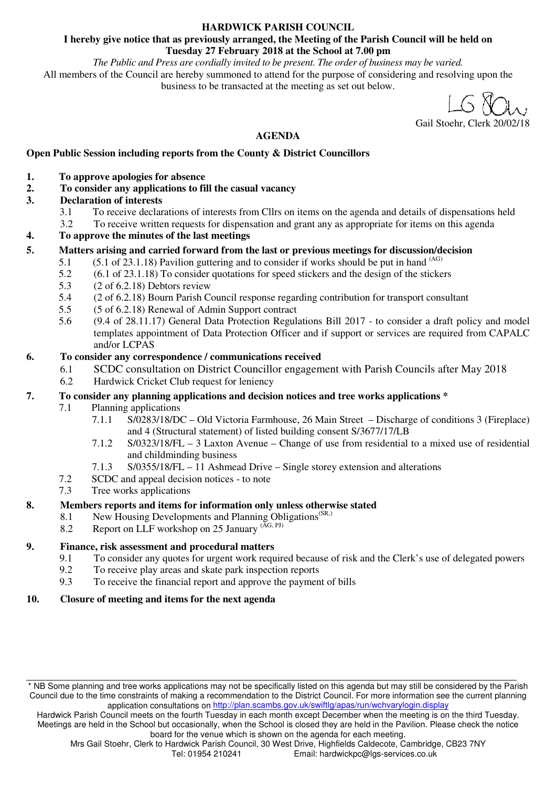#### **HARDWICK PARISH COUNCIL**

#### **I hereby give notice that as previously arranged, the Meeting of the Parish Council will be held on Tuesday 27 February 2018 at the School at 7.00 pm**

*The Public and Press are cordially invited to be present. The order of business may be varied.* 

All members of the Council are hereby summoned to attend for the purpose of considering and resolving upon the business to be transacted at the meeting as set out below.

Gail Stoehr, Clerk 20/02/18

# **AGENDA**

# **Open Public Session including reports from the County & District Councillors**

- **1. To approve apologies for absence**
- **2. To consider any applications to fill the casual vacancy**

# **3. Declaration of interests**

- 3.1 To receive declarations of interests from Cllrs on items on the agenda and details of dispensations held
- 3.2 To receive written requests for dispensation and grant any as appropriate for items on this agenda

# **4. To approve the minutes of the last meetings**

# **5. Matters arising and carried forward from the last or previous meetings for discussion/decision**

- 5.1 (5.1 of 23.1.18) Pavilion guttering and to consider if works should be put in hand  $^{(AG)}$
- 5.2 (6.1 of 23.1.18) To consider quotations for speed stickers and the design of the stickers
- 5.3 (2 of 6.2.18) Debtors review
- 5.4 (2 of 6.2.18) Bourn Parish Council response regarding contribution for transport consultant
- 5.5 (5 of 6.2.18) Renewal of Admin Support contract
- 5.6 (9.4 of 28.11.17) General Data Protection Regulations Bill 2017 to consider a draft policy and model templates appointment of Data Protection Officer and if support or services are required from CAPALC and/or LCPAS

## **6. To consider any correspondence / communications received**

- 6.1 SCDC consultation on District Councillor engagement with Parish Councils after May 2018
- 6.2 Hardwick Cricket Club request for leniency

## **7. To consider any planning applications and decision notices and tree works applications \***

- 7.1 Planning applications
	- 7.1.1 S/0283/18/DC Old Victoria Farmhouse, 26 Main Street Discharge of conditions 3 (Fireplace) and 4 (Structural statement) of listed building consent S/3677/17/LB
	- 7.1.2 S/0323/18/FL 3 Laxton Avenue Change of use from residential to a mixed use of residential and childminding business
	- 7.1.3 S/0355/18/FL 11 Ashmead Drive Single storey extension and alterations
- 7.2 SCDC and appeal decision notices to note
- 7.3 Tree works applications

## **8. Members reports and items for information only unless otherwise stated**

- 8.1 New Housing Developments and Planning Obligations<sup>(SR,)</sup> Report on LLE workshop on 25 January ( $^{AG, Pl}$ )
- Report on LLF workshop on 25 January  $(AG, PI)$

## **9. Finance, risk assessment and procedural matters**

- 9.1 To consider any quotes for urgent work required because of risk and the Clerk's use of delegated powers
- 9.2 To receive play areas and skate park inspection reports
- 9.3 To receive the financial report and approve the payment of bills

## **10. Closure of meeting and items for the next agenda**

<sup>\*</sup> NB Some planning and tree works applications may not be specifically listed on this agenda but may still be considered by the Parish Council due to the time constraints of making a recommendation to the District Council. For more information see the current planning application consultations on http://plan.scambs.gov.uk/swiftlg/apas/run/wchvarylogin.display

Hardwick Parish Council meets on the fourth Tuesday in each month except December when the meeting is on the third Tuesday. Meetings are held in the School but occasionally, when the School is closed they are held in the Pavilion. Please check the notice board for the venue which is shown on the agenda for each meeting.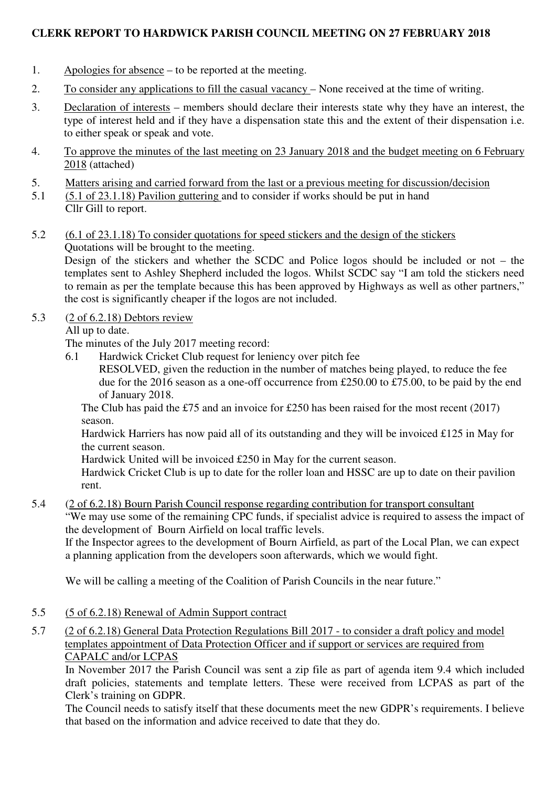# **CLERK REPORT TO HARDWICK PARISH COUNCIL MEETING ON 27 FEBRUARY 2018**

- 1. Apologies for absence to be reported at the meeting.
- 2. To consider any applications to fill the casual vacancy None received at the time of writing.
- 3. Declaration of interests members should declare their interests state why they have an interest, the type of interest held and if they have a dispensation state this and the extent of their dispensation i.e. to either speak or speak and vote.
- 4. To approve the minutes of the last meeting on 23 January 2018 and the budget meeting on 6 February 2018 (attached)
- 5. Matters arising and carried forward from the last or a previous meeting for discussion/decision
- 5.1 (5.1 of 23.1.18) Pavilion guttering and to consider if works should be put in hand Cllr Gill to report.
- 5.2 (6.1 of 23.1.18) To consider quotations for speed stickers and the design of the stickers Quotations will be brought to the meeting.

Design of the stickers and whether the SCDC and Police logos should be included or not – the templates sent to Ashley Shepherd included the logos. Whilst SCDC say "I am told the stickers need to remain as per the template because this has been approved by Highways as well as other partners," the cost is significantly cheaper if the logos are not included.

# 5.3 (2 of 6.2.18) Debtors review

All up to date.

The minutes of the July 2017 meeting record:

6.1 Hardwick Cricket Club request for leniency over pitch fee

RESOLVED, given the reduction in the number of matches being played, to reduce the fee due for the 2016 season as a one-off occurrence from £250.00 to £75.00, to be paid by the end of January 2018.

The Club has paid the £75 and an invoice for £250 has been raised for the most recent (2017) season.

Hardwick Harriers has now paid all of its outstanding and they will be invoiced £125 in May for the current season.

Hardwick United will be invoiced £250 in May for the current season.

Hardwick Cricket Club is up to date for the roller loan and HSSC are up to date on their pavilion rent.

5.4 (2 of 6.2.18) Bourn Parish Council response regarding contribution for transport consultant

"We may use some of the remaining CPC funds, if specialist advice is required to assess the impact of the development of Bourn Airfield on local traffic levels.

If the Inspector agrees to the development of Bourn Airfield, as part of the Local Plan, we can expect a planning application from the developers soon afterwards, which we would fight.

We will be calling a meeting of the Coalition of Parish Councils in the near future."

- 5.5 (5 of 6.2.18) Renewal of Admin Support contract
- 5.7 (2 of 6.2.18) General Data Protection Regulations Bill 2017 to consider a draft policy and model templates appointment of Data Protection Officer and if support or services are required from CAPALC and/or LCPAS

In November 2017 the Parish Council was sent a zip file as part of agenda item 9.4 which included draft policies, statements and template letters. These were received from LCPAS as part of the Clerk's training on GDPR.

The Council needs to satisfy itself that these documents meet the new GDPR's requirements. I believe that based on the information and advice received to date that they do.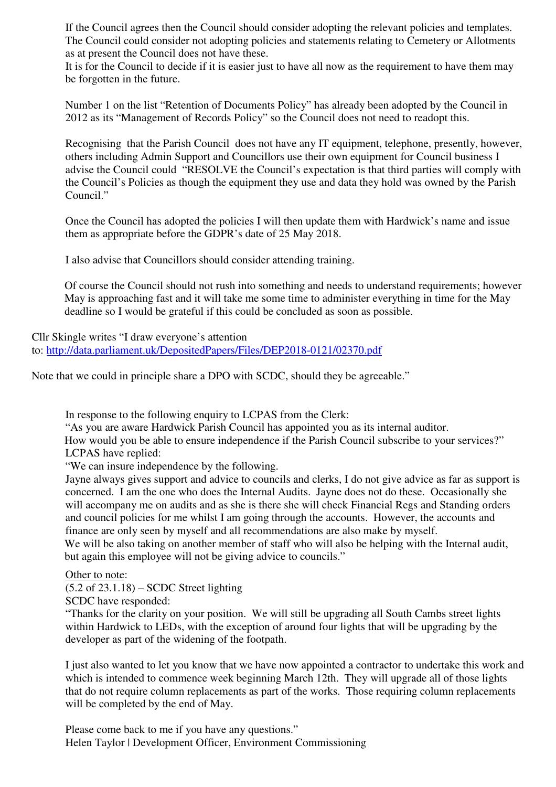If the Council agrees then the Council should consider adopting the relevant policies and templates. The Council could consider not adopting policies and statements relating to Cemetery or Allotments as at present the Council does not have these.

It is for the Council to decide if it is easier just to have all now as the requirement to have them may be forgotten in the future.

Number 1 on the list "Retention of Documents Policy" has already been adopted by the Council in 2012 as its "Management of Records Policy" so the Council does not need to readopt this.

Recognising that the Parish Council does not have any IT equipment, telephone, presently, however, others including Admin Support and Councillors use their own equipment for Council business I advise the Council could "RESOLVE the Council's expectation is that third parties will comply with the Council's Policies as though the equipment they use and data they hold was owned by the Parish Council."

Once the Council has adopted the policies I will then update them with Hardwick's name and issue them as appropriate before the GDPR's date of 25 May 2018.

I also advise that Councillors should consider attending training.

Of course the Council should not rush into something and needs to understand requirements; however May is approaching fast and it will take me some time to administer everything in time for the May deadline so I would be grateful if this could be concluded as soon as possible.

Cllr Skingle writes "I draw everyone's attention to: http://data.parliament.uk/DepositedPapers/Files/DEP2018-0121/02370.pdf

Note that we could in principle share a DPO with SCDC, should they be agreeable."

In response to the following enquiry to LCPAS from the Clerk:

"As you are aware Hardwick Parish Council has appointed you as its internal auditor.

How would you be able to ensure independence if the Parish Council subscribe to your services?" LCPAS have replied:

"We can insure independence by the following.

Jayne always gives support and advice to councils and clerks, I do not give advice as far as support is concerned. I am the one who does the Internal Audits. Jayne does not do these. Occasionally she will accompany me on audits and as she is there she will check Financial Regs and Standing orders and council policies for me whilst I am going through the accounts. However, the accounts and finance are only seen by myself and all recommendations are also make by myself. We will be also taking on another member of staff who will also be helping with the Internal audit,

but again this employee will not be giving advice to councils."

Other to note:

(5.2 of 23.1.18) – SCDC Street lighting

SCDC have responded:

"Thanks for the clarity on your position. We will still be upgrading all South Cambs street lights within Hardwick to LEDs, with the exception of around four lights that will be upgrading by the developer as part of the widening of the footpath.

I just also wanted to let you know that we have now appointed a contractor to undertake this work and which is intended to commence week beginning March 12th. They will upgrade all of those lights that do not require column replacements as part of the works. Those requiring column replacements will be completed by the end of May.

Please come back to me if you have any questions." Helen Taylor | Development Officer, Environment Commissioning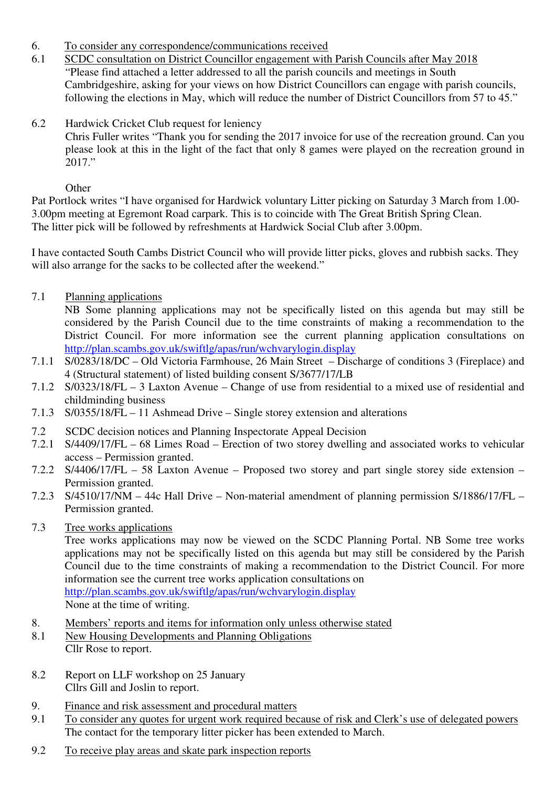- 6. To consider any correspondence/communications received
- 6.1 SCDC consultation on District Councillor engagement with Parish Councils after May 2018 "Please find attached a letter addressed to all the parish councils and meetings in South Cambridgeshire, asking for your views on how District Councillors can engage with parish councils, following the elections in May, which will reduce the number of District Councillors from 57 to 45."
- 6.2 Hardwick Cricket Club request for leniency

Chris Fuller writes "Thank you for sending the 2017 invoice for use of the recreation ground. Can you please look at this in the light of the fact that only 8 games were played on the recreation ground in 2017."

**Other** 

Pat Portlock writes "I have organised for Hardwick voluntary Litter picking on Saturday 3 March from 1.00- 3.00pm meeting at Egremont Road carpark. This is to coincide with The Great British Spring Clean. The litter pick will be followed by refreshments at Hardwick Social Club after 3.00pm.

I have contacted South Cambs District Council who will provide litter picks, gloves and rubbish sacks. They will also arrange for the sacks to be collected after the weekend."

7.1 Planning applications

NB Some planning applications may not be specifically listed on this agenda but may still be considered by the Parish Council due to the time constraints of making a recommendation to the District Council. For more information see the current planning application consultations on http://plan.scambs.gov.uk/swiftlg/apas/run/wchvarylogin.display

- 7.1.1 S/0283/18/DC Old Victoria Farmhouse, 26 Main Street Discharge of conditions 3 (Fireplace) and 4 (Structural statement) of listed building consent S/3677/17/LB
- 7.1.2 S/0323/18/FL 3 Laxton Avenue Change of use from residential to a mixed use of residential and childminding business
- 7.1.3 S/0355/18/FL 11 Ashmead Drive Single storey extension and alterations
- 7.2 SCDC decision notices and Planning Inspectorate Appeal Decision
- 7.2.1 S/4409/17/FL 68 Limes Road Erection of two storey dwelling and associated works to vehicular access – Permission granted.
- 7.2.2 S/4406/17/FL 58 Laxton Avenue Proposed two storey and part single storey side extension Permission granted.
- 7.2.3 S/4510/17/NM 44c Hall Drive Non-material amendment of planning permission S/1886/17/FL Permission granted.
- 7.3 Tree works applications

Tree works applications may now be viewed on the SCDC Planning Portal. NB Some tree works applications may not be specifically listed on this agenda but may still be considered by the Parish Council due to the time constraints of making a recommendation to the District Council. For more information see the current tree works application consultations on http://plan.scambs.gov.uk/swiftlg/apas/run/wchvarylogin.display

- None at the time of writing.
- 8. Members' reports and items for information only unless otherwise stated
- 8.1 New Housing Developments and Planning Obligations Cllr Rose to report.
- 8.2 Report on LLF workshop on 25 January Cllrs Gill and Joslin to report.
- 9. Finance and risk assessment and procedural matters
- 9.1 To consider any quotes for urgent work required because of risk and Clerk's use of delegated powers The contact for the temporary litter picker has been extended to March.
- 9.2 To receive play areas and skate park inspection reports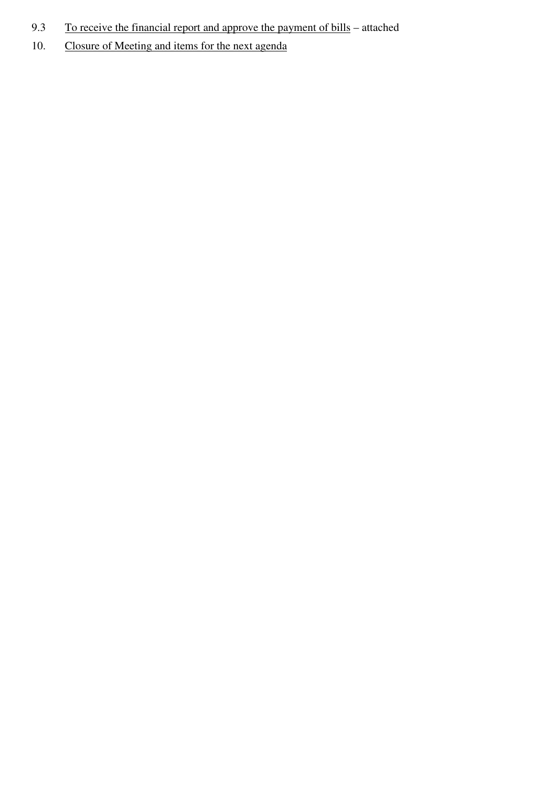- 9.3 To receive the financial report and approve the payment of bills attached
- 10. Closure of Meeting and items for the next agenda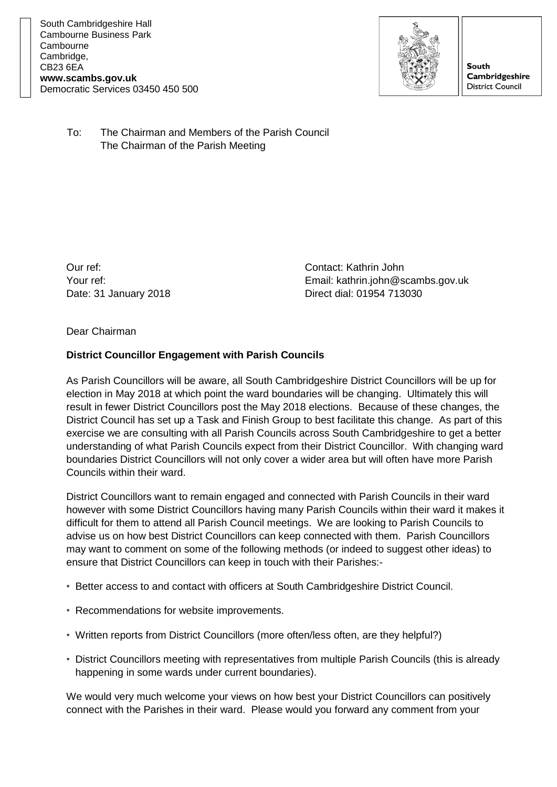

**South Cambridgeshire District Council** 

To: The Chairman and Members of the Parish Council The Chairman of the Parish Meeting

Our ref: Contact: Kathrin John

Your ref: Email: kathrin.john@scambs.gov.uk Date: 31 January 2018 Direct dial: 01954 713030

Dear Chairman

## **District Councillor Engagement with Parish Councils**

As Parish Councillors will be aware, all South Cambridgeshire District Councillors will be up for election in May 2018 at which point the ward boundaries will be changing. Ultimately this will result in fewer District Councillors post the May 2018 elections. Because of these changes, the District Council has set up a Task and Finish Group to best facilitate this change. As part of this exercise we are consulting with all Parish Councils across South Cambridgeshire to get a better understanding of what Parish Councils expect from their District Councillor. With changing ward boundaries District Councillors will not only cover a wider area but will often have more Parish Councils within their ward.

District Councillors want to remain engaged and connected with Parish Councils in their ward however with some District Councillors having many Parish Councils within their ward it makes it difficult for them to attend all Parish Council meetings. We are looking to Parish Councils to advise us on how best District Councillors can keep connected with them. Parish Councillors may want to comment on some of the following methods (or indeed to suggest other ideas) to ensure that District Councillors can keep in touch with their Parishes:-

- Better access to and contact with officers at South Cambridgeshire District Council.
- Recommendations for website improvements.
- Written reports from District Councillors (more often/less often, are they helpful?)
- District Councillors meeting with representatives from multiple Parish Councils (this is already happening in some wards under current boundaries).

We would very much welcome your views on how best your District Councillors can positively connect with the Parishes in their ward. Please would you forward any comment from your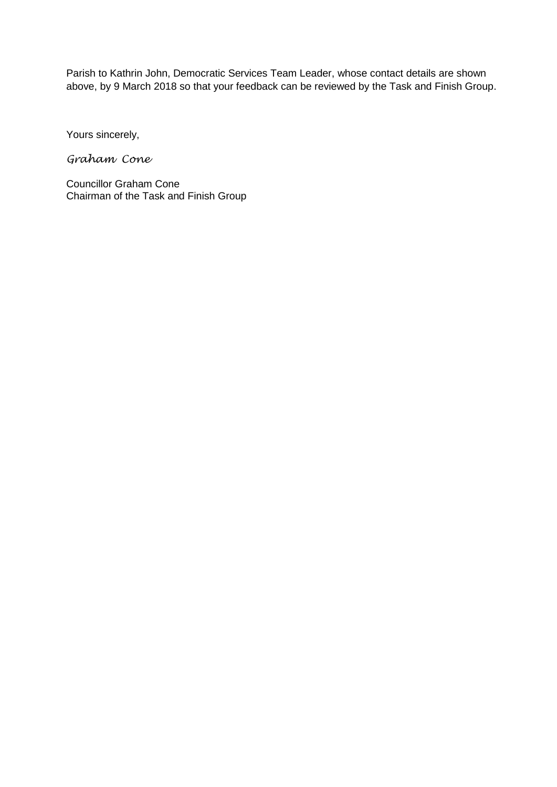Parish to Kathrin John, Democratic Services Team Leader, whose contact details are shown above, by 9 March 2018 so that your feedback can be reviewed by the Task and Finish Group.

Yours sincerely,

*Graham Cone*

Councillor Graham Cone Chairman of the Task and Finish Group